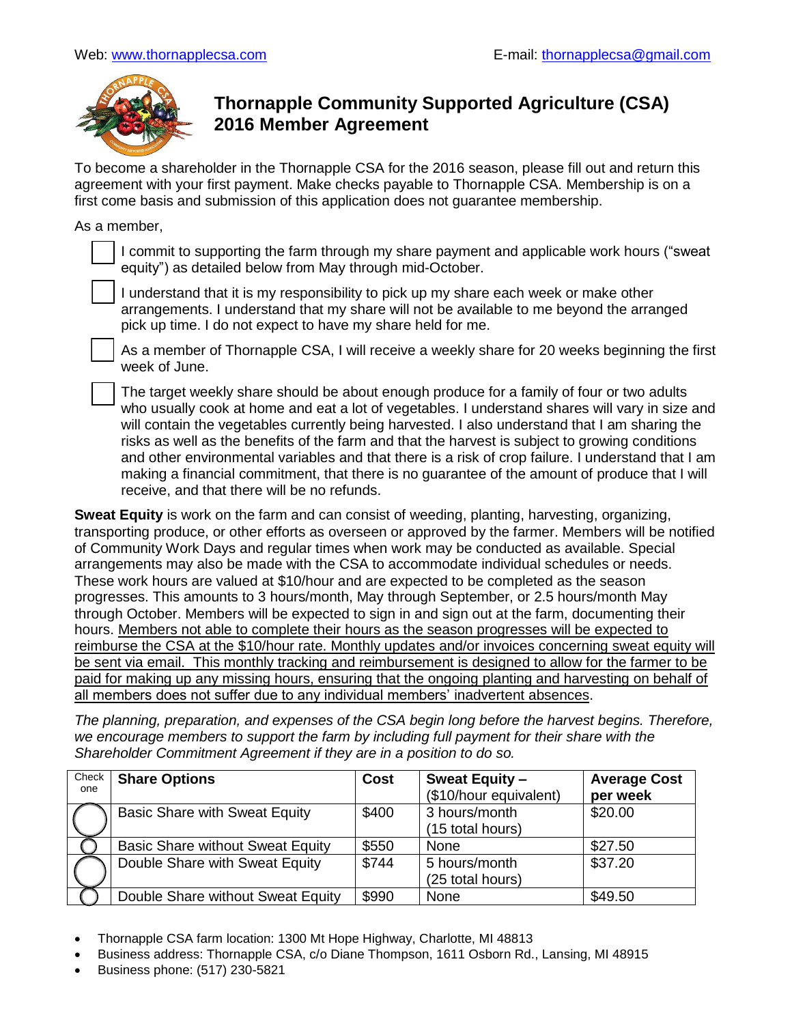

## **Thornapple Community Supported Agriculture (CSA) 2016 Member Agreement**

To become a shareholder in the Thornapple CSA for the 2016 season, please fill out and return this agreement with your first payment. Make checks payable to Thornapple CSA. Membership is on a first come basis and submission of this application does not guarantee membership.

As a member,

 I commit to supporting the farm through my share payment and applicable work hours ("sweat equity") as detailed below from May through mid-October.

 I understand that it is my responsibility to pick up my share each week or make other arrangements. I understand that my share will not be available to me beyond the arranged pick up time. I do not expect to have my share held for me.

 As a member of Thornapple CSA, I will receive a weekly share for 20 weeks beginning the first week of June.

 The target weekly share should be about enough produce for a family of four or two adults who usually cook at home and eat a lot of vegetables. I understand shares will vary in size and will contain the vegetables currently being harvested. I also understand that I am sharing the risks as well as the benefits of the farm and that the harvest is subject to growing conditions and other environmental variables and that there is a risk of crop failure. I understand that I am making a financial commitment, that there is no guarantee of the amount of produce that I will receive, and that there will be no refunds.

**Sweat Equity** is work on the farm and can consist of weeding, planting, harvesting, organizing, transporting produce, or other efforts as overseen or approved by the farmer. Members will be notified of Community Work Days and regular times when work may be conducted as available. Special arrangements may also be made with the CSA to accommodate individual schedules or needs. These work hours are valued at \$10/hour and are expected to be completed as the season progresses. This amounts to 3 hours/month, May through September, or 2.5 hours/month May through October. Members will be expected to sign in and sign out at the farm, documenting their hours. Members not able to complete their hours as the season progresses will be expected to reimburse the CSA at the \$10/hour rate. Monthly updates and/or invoices concerning sweat equity will be sent via email. This monthly tracking and reimbursement is designed to allow for the farmer to be paid for making up any missing hours, ensuring that the ongoing planting and harvesting on behalf of all members does not suffer due to any individual members' inadvertent absences.

*The planning, preparation, and expenses of the CSA begin long before the harvest begins. Therefore, we encourage members to support the farm by including full payment for their share with the Shareholder Commitment Agreement if they are in a position to do so.*

| Check | <b>Share Options</b>                    | Cost  | <b>Sweat Equity -</b>  | <b>Average Cost</b> |
|-------|-----------------------------------------|-------|------------------------|---------------------|
| one   |                                         |       | (\$10/hour equivalent) | per week            |
|       | <b>Basic Share with Sweat Equity</b>    | \$400 | 3 hours/month          | \$20.00             |
|       |                                         |       | (15 total hours)       |                     |
|       | <b>Basic Share without Sweat Equity</b> | \$550 | None                   | \$27.50             |
|       | Double Share with Sweat Equity          | \$744 | 5 hours/month          | \$37.20             |
|       |                                         |       | (25 total hours)       |                     |
|       | Double Share without Sweat Equity       | \$990 | None                   | \$49.50             |

- Thornapple CSA farm location: 1300 Mt Hope Highway, Charlotte, MI 48813
- Business address: Thornapple CSA, c/o Diane Thompson, 1611 Osborn Rd., Lansing, MI 48915
- Business phone: (517) 230-5821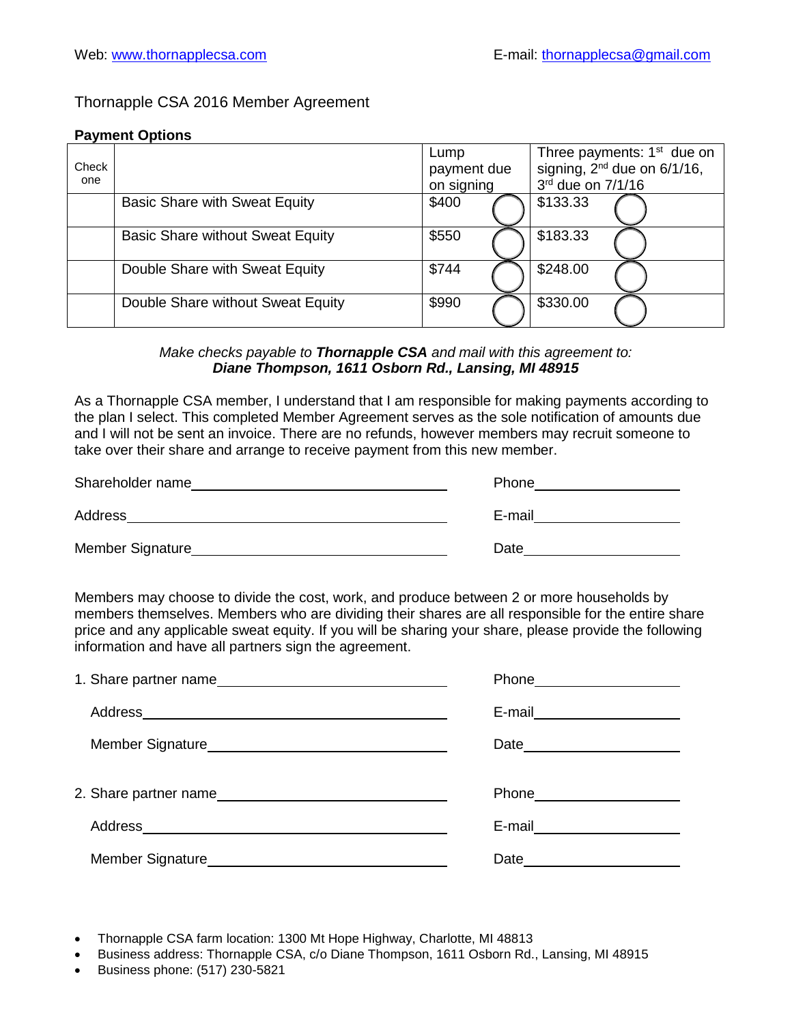## Thornapple CSA 2016 Member Agreement

## **Payment Options**

| Check<br>one |                                         | Lump<br>payment due<br>on signing | Three payments: 1 <sup>st</sup> due on<br>signing, $2^{nd}$ due on $6/1/16$ ,<br>3rd due on 7/1/16 |
|--------------|-----------------------------------------|-----------------------------------|----------------------------------------------------------------------------------------------------|
|              | <b>Basic Share with Sweat Equity</b>    | \$400                             | \$133.33                                                                                           |
|              | <b>Basic Share without Sweat Equity</b> | \$550                             | \$183.33                                                                                           |
|              | Double Share with Sweat Equity          | \$744                             | \$248.00                                                                                           |
|              | Double Share without Sweat Equity       | \$990                             | \$330.00                                                                                           |

## *Make checks payable to Thornapple CSA and mail with this agreement to: Diane Thompson, 1611 Osborn Rd., Lansing, MI 48915*

As a Thornapple CSA member, I understand that I am responsible for making payments according to the plan I select. This completed Member Agreement serves as the sole notification of amounts due and I will not be sent an invoice. There are no refunds, however members may recruit someone to take over their share and arrange to receive payment from this new member.

| Shareholder name | Phone  |
|------------------|--------|
| Address          | E-mail |
| Member Signature | Date   |

Members may choose to divide the cost, work, and produce between 2 or more households by members themselves. Members who are dividing their shares are all responsible for the entire share price and any applicable sweat equity. If you will be sharing your share, please provide the following information and have all partners sign the agreement.

|                       | Phone____________________     |
|-----------------------|-------------------------------|
|                       | E-mail_______________________ |
|                       | Date______________________    |
|                       |                               |
| 2. Share partner name | Phone____________________     |
|                       |                               |
|                       |                               |

- Thornapple CSA farm location: 1300 Mt Hope Highway, Charlotte, MI 48813
- Business address: Thornapple CSA, c/o Diane Thompson, 1611 Osborn Rd., Lansing, MI 48915
- Business phone: (517) 230-5821